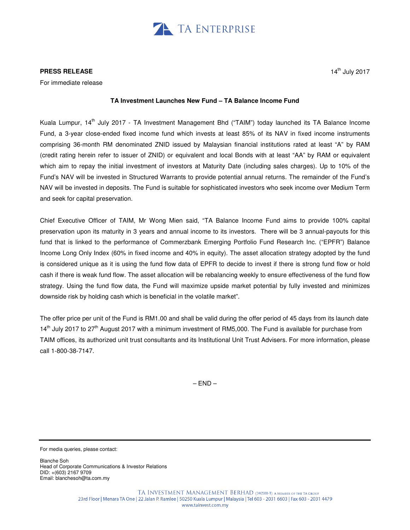

## **PRESS RELEASE**

For immediate release

## **TA Investment Launches New Fund – TA Balance Income Fund**

Kuala Lumpur, 14<sup>th</sup> July 2017 - TA Investment Management Bhd ("TAIM") today launched its TA Balance Income Fund, a 3-year close-ended fixed income fund which invests at least 85% of its NAV in fixed income instruments comprising 36-month RM denominated ZNID issued by Malaysian financial institutions rated at least "A" by RAM (credit rating herein refer to issuer of ZNID) or equivalent and local Bonds with at least "AA" by RAM or equivalent which aim to repay the initial investment of investors at Maturity Date (including sales charges). Up to 10% of the Fund's NAV will be invested in Structured Warrants to provide potential annual returns. The remainder of the Fund's NAV will be invested in deposits. The Fund is suitable for sophisticated investors who seek income over Medium Term and seek for capital preservation.

Chief Executive Officer of TAIM, Mr Wong Mien said, "TA Balance Income Fund aims to provide 100% capital preservation upon its maturity in 3 years and annual income to its investors. There will be 3 annual-payouts for this fund that is linked to the performance of Commerzbank Emerging Portfolio Fund Research Inc. ("EPFR") Balance Income Long Only Index (60% in fixed income and 40% in equity). The asset allocation strategy adopted by the fund is considered unique as it is using the fund flow data of EPFR to decide to invest if there is strong fund flow or hold cash if there is weak fund flow. The asset allocation will be rebalancing weekly to ensure effectiveness of the fund flow strategy. Using the fund flow data, the Fund will maximize upside market potential by fully invested and minimizes downside risk by holding cash which is beneficial in the volatile market".

The offer price per unit of the Fund is RM1.00 and shall be valid during the offer period of 45 days from its launch date 14<sup>th</sup> July 2017 to 27<sup>th</sup> August 2017 with a minimum investment of RM5,000. The Fund is available for purchase from TAIM offices, its authorized unit trust consultants and its Institutional Unit Trust Advisers. For more information, please call 1-800-38-7147.

 $-$  END $-$ 

For media queries, please contact:

Blanche Soh Head of Corporate Communications & Investor Relations DID: +(603) 2167 9709 Email: blanchesoh@ta.com.my